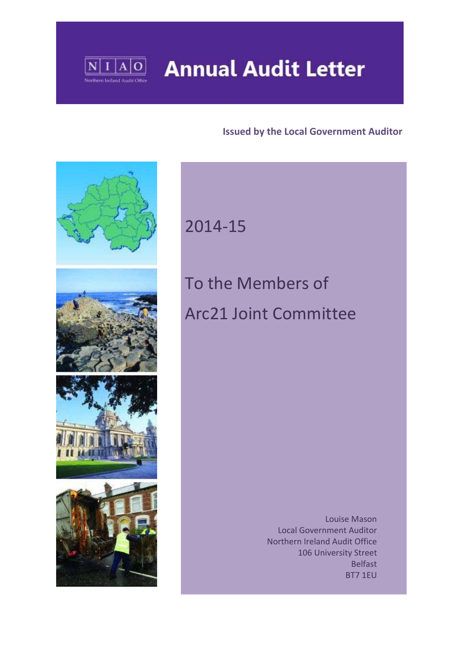

# **Annual Audit Letter**

#### **Issued by the Local Government Auditor**



# 2014‐15

# To the Members of Arc21 Joint Committee

 Louise Mason Local Government Auditor Northern Ireland Audit Office 106 University Street Belfast BT7 1EU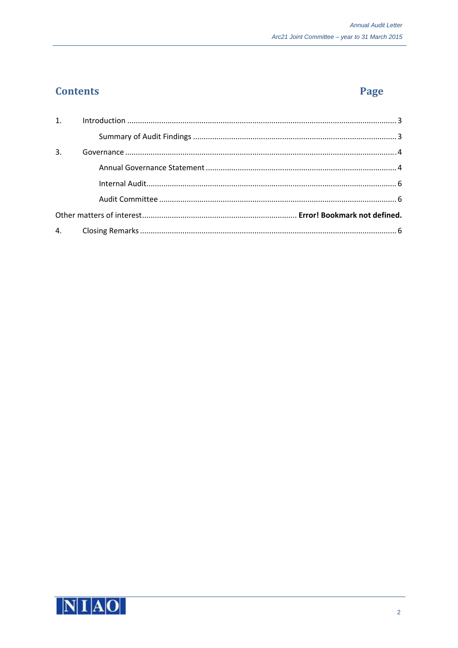## **Contents**

# Page

| 3. |  |
|----|--|
|    |  |
|    |  |
|    |  |
|    |  |
|    |  |

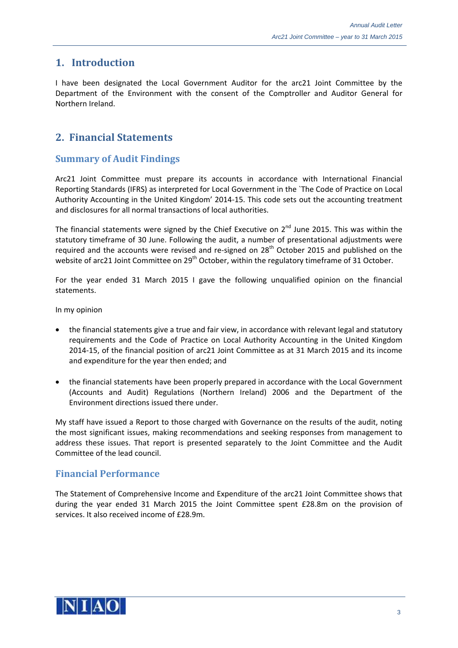#### **1. Introduction**

I have been designated the Local Government Auditor for the arc21 Joint Committee by the Department of the Environment with the consent of the Comptroller and Auditor General for Northern Ireland.

### **2. Financial Statements**

#### **Summary of Audit Findings**

Arc21 Joint Committee must prepare its accounts in accordance with International Financial Reporting Standards (IFRS) as interpreted for Local Government in the `The Code of Practice on Local Authority Accounting in the United Kingdom' 2014‐15. This code sets out the accounting treatment and disclosures for all normal transactions of local authorities.

The financial statements were signed by the Chief Executive on  $2^{nd}$  June 2015. This was within the statutory timeframe of 30 June. Following the audit, a number of presentational adjustments were required and the accounts were revised and re-signed on 28<sup>th</sup> October 2015 and published on the website of arc21 Joint Committee on 29<sup>th</sup> October, within the regulatory timeframe of 31 October.

For the year ended 31 March 2015 I gave the following unqualified opinion on the financial statements.

In my opinion

- the financial statements give a true and fair view, in accordance with relevant legal and statutory requirements and the Code of Practice on Local Authority Accounting in the United Kingdom 2014‐15, of the financial position of arc21 Joint Committee as at 31 March 2015 and its income and expenditure for the year then ended; and
- the financial statements have been properly prepared in accordance with the Local Government (Accounts and Audit) Regulations (Northern Ireland) 2006 and the Department of the Environment directions issued there under.

My staff have issued a Report to those charged with Governance on the results of the audit, noting the most significant issues, making recommendations and seeking responses from management to address these issues. That report is presented separately to the Joint Committee and the Audit Committee of the lead council.

#### **Financial Performance**

The Statement of Comprehensive Income and Expenditure of the arc21 Joint Committee shows that during the year ended 31 March 2015 the Joint Committee spent £28.8m on the provision of services. It also received income of £28.9m.

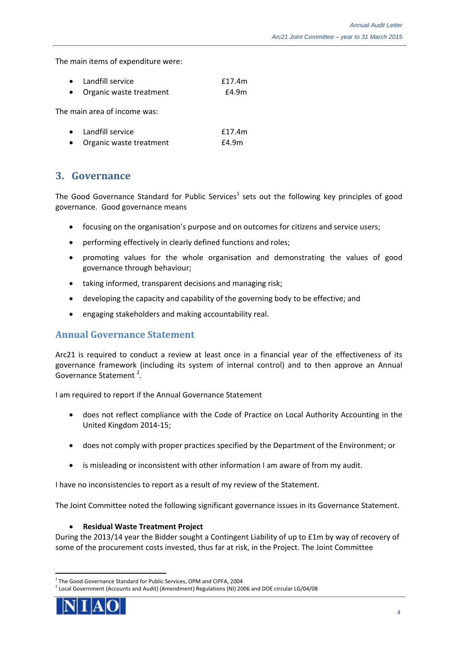The main items of expenditure were:

| $\bullet$ | Landfill service        | f17.4m |
|-----------|-------------------------|--------|
| $\bullet$ | Organic waste treatment | £4.9m  |

The main area of income was:

| • Landfill service        | f17.4m |
|---------------------------|--------|
| • Organic waste treatment | £4.9m  |

#### **3. Governance**

The Good Governance Standard for Public Services<sup>1</sup> sets out the following key principles of good governance. Good governance means

- focusing on the organisation's purpose and on outcomes for citizens and service users;
- performing effectively in clearly defined functions and roles;
- promoting values for the whole organisation and demonstrating the values of good governance through behaviour;
- taking informed, transparent decisions and managing risk;
- developing the capacity and capability of the governing body to be effective; and
- engaging stakeholders and making accountability real.

#### **Annual Governance Statement**

Arc21 is required to conduct a review at least once in a financial year of the effectiveness of its governance framework (including its system of internal control) and to then approve an Annual Governance Statement<sup>2</sup>.

I am required to report if the Annual Governance Statement

- does not reflect compliance with the Code of Practice on Local Authority Accounting in the United Kingdom 2014‐15;
- does not comply with proper practices specified by the Department of the Environment; or
- is misleading or inconsistent with other information I am aware of from my audit.

I have no inconsistencies to report as a result of my review of the Statement.

The Joint Committee noted the following significant governance issues in its Governance Statement.

#### **Residual Waste Treatment Project**

During the 2013/14 year the Bidder sought a Contingent Liability of up to £1m by way of recovery of some of the procurement costs invested, thus far at risk, in the Project. The Joint Committee

 $2$  Local Government (Accounts and Audit) (Amendment) Regulations (NI) 2006 and DOE circular LG/04/08



<sup>&</sup>lt;sup>1</sup> The Good Governance Standard for Public Services, OPM and CIPFA, 2004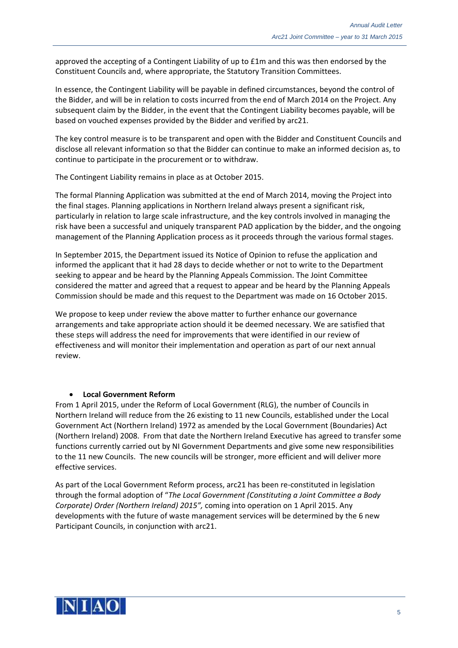approved the accepting of a Contingent Liability of up to £1m and this was then endorsed by the Constituent Councils and, where appropriate, the Statutory Transition Committees.

In essence, the Contingent Liability will be payable in defined circumstances, beyond the control of the Bidder, and will be in relation to costs incurred from the end of March 2014 on the Project. Any subsequent claim by the Bidder, in the event that the Contingent Liability becomes payable, will be based on vouched expenses provided by the Bidder and verified by arc21.

The key control measure is to be transparent and open with the Bidder and Constituent Councils and disclose all relevant information so that the Bidder can continue to make an informed decision as, to continue to participate in the procurement or to withdraw.

The Contingent Liability remains in place as at October 2015.

The formal Planning Application was submitted at the end of March 2014, moving the Project into the final stages. Planning applications in Northern Ireland always present a significant risk, particularly in relation to large scale infrastructure, and the key controls involved in managing the risk have been a successful and uniquely transparent PAD application by the bidder, and the ongoing management of the Planning Application process as it proceeds through the various formal stages.

In September 2015, the Department issued its Notice of Opinion to refuse the application and informed the applicant that it had 28 days to decide whether or not to write to the Department seeking to appear and be heard by the Planning Appeals Commission. The Joint Committee considered the matter and agreed that a request to appear and be heard by the Planning Appeals Commission should be made and this request to the Department was made on 16 October 2015.

We propose to keep under review the above matter to further enhance our governance arrangements and take appropriate action should it be deemed necessary. We are satisfied that these steps will address the need for improvements that were identified in our review of effectiveness and will monitor their implementation and operation as part of our next annual review.

#### **Local Government Reform**

From 1 April 2015, under the Reform of Local Government (RLG), the number of Councils in Northern Ireland will reduce from the 26 existing to 11 new Councils, established under the Local Government Act (Northern Ireland) 1972 as amended by the Local Government (Boundaries) Act (Northern Ireland) 2008. From that date the Northern Ireland Executive has agreed to transfer some functions currently carried out by NI Government Departments and give some new responsibilities to the 11 new Councils. The new councils will be stronger, more efficient and will deliver more effective services.

As part of the Local Government Reform process, arc21 has been re-constituted in legislation through the formal adoption of "*The Local Government (Constituting a Joint Committee a Body Corporate) Order (Northern Ireland) 2015",* coming into operation on 1 April 2015. Any developments with the future of waste management services will be determined by the 6 new Participant Councils, in conjunction with arc21.

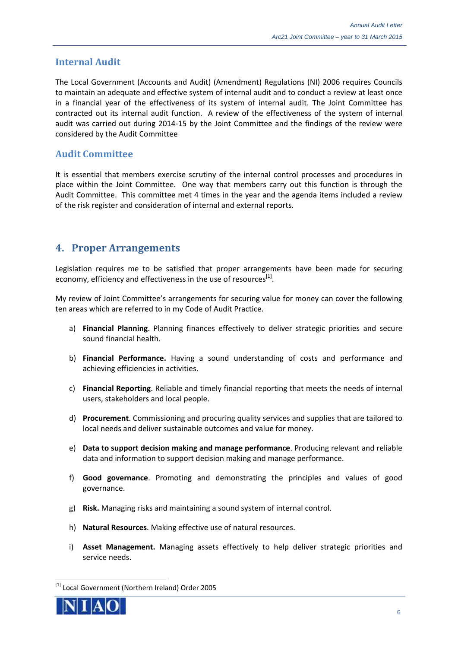#### **Internal Audit**

The Local Government (Accounts and Audit) (Amendment) Regulations (NI) 2006 requires Councils to maintain an adequate and effective system of internal audit and to conduct a review at least once in a financial year of the effectiveness of its system of internal audit. The Joint Committee has contracted out its internal audit function. A review of the effectiveness of the system of internal audit was carried out during 2014‐15 by the Joint Committee and the findings of the review were considered by the Audit Committee

#### **Audit Committee**

It is essential that members exercise scrutiny of the internal control processes and procedures in place within the Joint Committee. One way that members carry out this function is through the Audit Committee. This committee met 4 times in the year and the agenda items included a review of the risk register and consideration of internal and external reports.

#### **4. Proper Arrangements**

Legislation requires me to be satisfied that proper arrangements have been made for securing economy, efficiency and effectiveness in the use of resources<sup>[1]</sup>.

My review of Joint Committee's arrangements for securing value for money can cover the following ten areas which are referred to in my Code of Audit Practice.

- a) **Financial Planning**. Planning finances effectively to deliver strategic priorities and secure sound financial health.
- b) **Financial Performance.** Having a sound understanding of costs and performance and achieving efficiencies in activities.
- c) **Financial Reporting**. Reliable and timely financial reporting that meets the needs of internal users, stakeholders and local people.
- d) **Procurement**. Commissioning and procuring quality services and supplies that are tailored to local needs and deliver sustainable outcomes and value for money.
- e) **Data to support decision making and manage performance**. Producing relevant and reliable data and information to support decision making and manage performance.
- f) **Good governance**. Promoting and demonstrating the principles and values of good governance.
- g) **Risk.** Managing risks and maintaining a sound system of internal control.
- h) **Natural Resources**. Making effective use of natural resources.
- i) **Asset Management.** Managing assets effectively to help deliver strategic priorities and service needs.

<sup>[1]</sup> Local Government (Northern Ireland) Order 2005